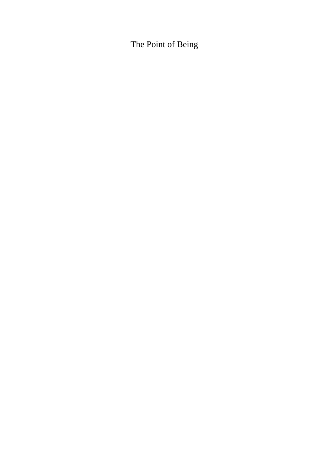# The Point of Being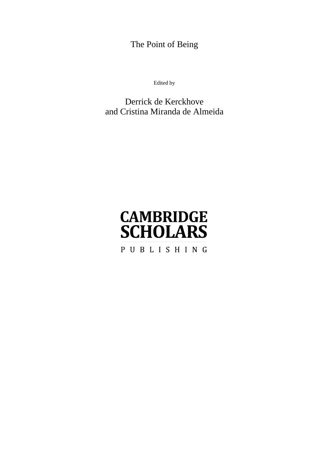The Point of Being

Edited by

### Derrick de Kerckhove and Cristina Miranda de Almeida

# **CAMBRIDGE SCHOLARS** PUBLISHING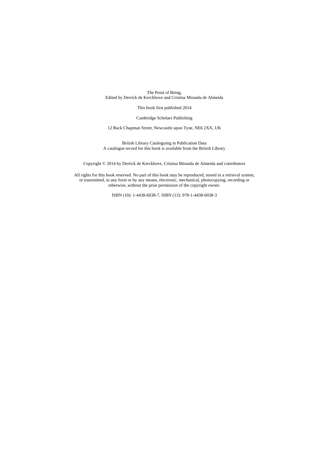The Point of Being, Edited by Derrick de Kerckhove and Cristina Miranda de Almeida

This book first published 2014

Cambridge Scholars Publishing

12 Back Chapman Street, Newcastle upon Tyne, NE6 2XX, UK

British Library Cataloguing in Publication Data A catalogue record for this book is available from the British Library

Copyright © 2014 by Derrick de Kerckhove, Cristina Miranda de Almeida and contributors

All rights for this book reserved. No part of this book may be reproduced, stored in a retrieval system, or transmitted, in any form or by any means, electronic, mechanical, photocopying, recording or otherwise, without the prior permission of the copyright owner.

ISBN (10): 1-4438-6038-7, ISBN (13): 978-1-4438-6038-3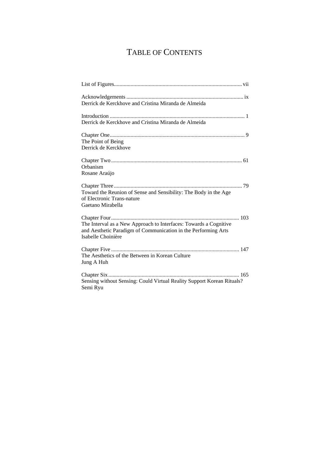## TABLE OF CONTENTS

| Derrick de Kerckhove and Cristina Miranda de Almeida                                                                                                      |
|-----------------------------------------------------------------------------------------------------------------------------------------------------------|
| Derrick de Kerckhove and Cristina Miranda de Almeida                                                                                                      |
| The Point of Being<br>Derrick de Kerckhove                                                                                                                |
| Orbanism<br>Rosane Araújo                                                                                                                                 |
| Toward the Reunion of Sense and Sensibility: The Body in the Age<br>of Electronic Trans-nature<br>Gaetano Mirabella                                       |
| The Interval as a New Approach to Interfaces: Towards a Cognitive<br>and Aesthetic Paradigm of Communication in the Performing Arts<br>Isabelle Choinière |
| The Aesthetics of the Between in Korean Culture<br>Jung A Huh                                                                                             |
| Sensing without Sensing: Could Virtual Reality Support Korean Rituals?<br>Semi Ryu                                                                        |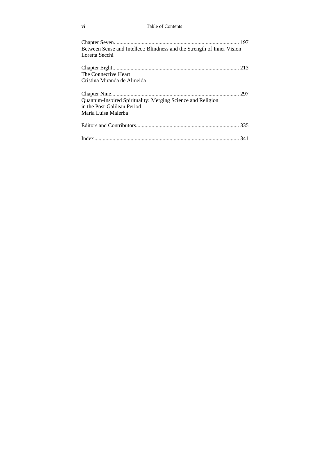### vi Table of Contents

| Between Sense and Intellect: Blindness and the Strength of Inner Vision<br>Loretta Secchi                         |  |
|-------------------------------------------------------------------------------------------------------------------|--|
| The Connective Heart                                                                                              |  |
| Cristina Miranda de Almeida                                                                                       |  |
| Quantum-Inspired Spirituality: Merging Science and Religion<br>in the Post-Galilean Period<br>Maria Luisa Malerba |  |
|                                                                                                                   |  |
|                                                                                                                   |  |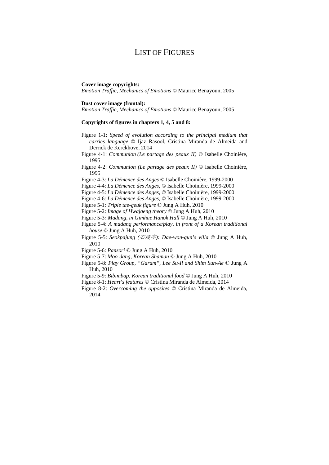### LIST OF FIGURES

#### **Cover image copyrights:**

*Emotion Traffic*, *Mechanics of Emotions ©* Maurice Benayoun, 2005

### **Dust cover image (frontal):**

*Emotion Traffic*, *Mechanics of Emotions ©* Maurice Benayoun, 2005

#### **Copyrights of figures in chapters 1, 4, 5 and 8:**

- Figure 1-1: *Speed of evolution according to the principal medium that carries language* © Ijaz Rasool, Cristina Miranda de Almeida and Derrick de Kerckhove, 2014
- Figure 4-1: *Communion (Le partage des peaux II)* © Isabelle Choinière, 1995
- Figure 4-2: *Communion (Le partage des peaux II)* © Isabelle Choinière, 1995
- Figure 4-3: *La Démence des Anges* © Isabelle Choinière, 1999-2000
- Figure 4-4: *La Démence des Anges*, © Isabelle Choinière, 1999-2000
- Figure 4-5: *La Démence des Anges*, © Isabelle Choinière, 1999-2000
- Figure 4-6: *La Démence des Anges*, © Isabelle Choinière, 1999-2000
- Figure 5-1: *Triple tae-geuk figure* © Jung A Huh, 2010
- Figure 5-2: *Image of Hwajaeng theory* © Jung A Huh, 2010
- Figure 5-3*: Madang, in Gimhae Hanok Hall* © Jung A Huh, 2010
- Figure 5-4: *A madang performance/play, in front of a Korean traditional house* © Jung A Huh, 2010
- Figure 5-5: *Seokpajung (*石坡亭*): Dae-won-gun's villa* © Jung A Huh, 2010
- Figure 5-6: *Pansori* © Jung A Huh, 2010
- Figure 5-7: *Moo-dang, Korean Shaman* © Jung A Huh, 2010
- Figure 5-8: *Play Group, "Garam", Lee Su-Il and Shim Sun-Ae* © Jung A Huh, 2010
- Figure 5-9: *Bibimbap, Korean traditional food* © Jung A Huh, 2010
- Figure 8-1: *Heart's features* © Cristina Miranda de Almeida, 2014
- Figure 8-2: *Overcoming the opposites* © Cristina Miranda de Almeida, 2014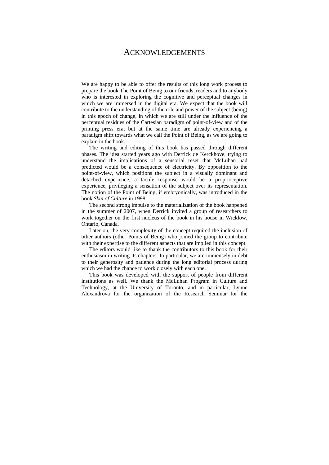### ACKNOWLEDGEMENTS

We are happy to be able to offer the results of this long work process to prepare the book The Point of Being to our friends, readers and to anybody who is interested in exploring the cognitive and perceptual changes in which we are immersed in the digital era. We expect that the book will contribute to the understanding of the role and power of the subject (being) in this epoch of change, in which we are still under the influence of the perceptual residues of the Cartesian paradigm of point-of-view and of the printing press era, but at the same time are already experiencing a paradigm shift towards what we call the Point of Being, as we are going to explain in the book.

The writing and editing of this book has passed through different phases. The idea started years ago with Derrick de Kerckhove, trying to understand the implications of a sensorial reset that McLuhan had predicted would be a consequence of electricity. By opposition to the point-of-view, which positions the subject in a visually dominant and detached experience, a tactile response would be a proprioceptive experience, privileging a sensation of the subject over its representation. The notion of the Point of Being, if embryonically, was introduced in the book *Skin of Culture* in 1998.

The second strong impulse to the materialization of the book happened in the summer of 2007, when Derrick invited a group of researchers to work together on the first nucleus of the book in his house in Wicklow, Ontario, Canada.

Later on, the very complexity of the concept required the inclusion of other authors (other Points of Being) who joined the group to contribute with their expertise to the different aspects that are implied in this concept.

The editors would like to thank the contributors to this book for their enthusiasm in writing its chapters. In particular, we are immensely in debt to their generosity and patience during the long editorial process during which we had the chance to work closely with each one.

This book was developed with the support of people from different institutions as well. We thank the McLuhan Program in Culture and Technology, at the University of Toronto, and in particular, Lynne Alexandrova for the organization of the Research Seminar for the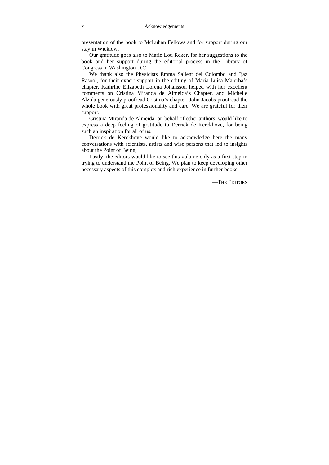presentation of the book to McLuhan Fellows and for support during our stay in Wicklow.

Our gratitude goes also to Marie Lou Reker, for her suggestions to the book and her support during the editorial process in the Library of Congress in Washington D.C.

We thank also the Physicists Emma Sallent del Colombo and Ijaz Rasool, for their expert support in the editing of Maria Luisa Malerba's chapter. Kathrine Elizabeth Lorena Johansson helped with her excellent comments on Cristina Miranda de Almeida's Chapter, and Michelle Alzola generously proofread Cristina's chapter. John Jacobs proofread the whole book with great professionality and care. We are grateful for their support.

Cristina Miranda de Almeida, on behalf of other authors, would like to express a deep feeling of gratitude to Derrick de Kerckhove, for being such an inspiration for all of us.

Derrick de Kerckhove would like to acknowledge here the many conversations with scientists, artists and wise persons that led to insights about the Point of Being.

Lastly, the editors would like to see this volume only as a first step in trying to understand the Point of Being. We plan to keep developing other necessary aspects of this complex and rich experience in further books.

—THE EDITORS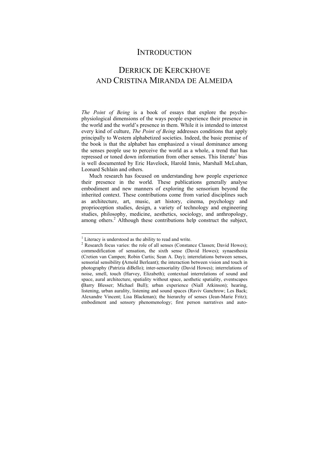### **INTRODUCTION**

### DERRICK DE KERCKHOVE AND CRISTINA MIRANDA DE ALMEIDA

*The Point of Being* is a book of essays that explore the psychophysiological dimensions of the ways people experience their presence in the world and the world's presence in them. While it is intended to interest every kind of culture, *The Point of Being* addresses conditions that apply principally to Western alphabetized societies. Indeed, the basic premise of the book is that the alphabet has emphasized a visual dominance among the senses people use to perceive the world as a whole, a trend that has repressed or toned down information from other senses. This literate<sup>1</sup> bias is well documented by Eric Havelock, Harold Innis, Marshall McLuhan, Leonard Schlain and others.

Much research has focused on understanding how people experience their presence in the world. These publications generally analyse embodiment and new manners of exploring the sensorium beyond the inherited context. These contributions come from varied disciplines such as architecture, art, music, art history, cinema, psychology and proprioception studies, design, a variety of technology and engineering studies, philosophy, medicine, aesthetics, sociology, and anthropology, among others.<sup>2</sup> Although these contributions help construct the subject,

<sup>&</sup>lt;sup>1</sup> Literacy is understood as the ability to read and write.<br><sup>2</sup> Pecearch focus varies: the role of all senses (Constant

 $2$  Research focus varies: the role of all senses (Constance Classen; David Howes); commodification of sensation, the sixth sense (David Howes); synaesthesia (Cretien van Campen; Robin Curtis; Sean A. Day); interrelations between senses, sensorial sensibility **(**Arnold Berleant); the interaction between vision and touch in photography (Patrizia diBello); inter-sensoriality (David Howes); interrelations of noise, smell, touch (Harvey, Elizabeth); contextual interrelations of sound and space, aural architecture, spatiality without space, aesthetic spatiality, eventscapes **(**Barry Blesser; Michael Bull); urban experience (Niall Atkinson); hearing, listening, urban aurality, listening and sound spaces (Raviv Ganchrow; Les Back; Alexandre Vincent; Lisa Blackman); the hierarchy of senses (Jean-Marie Fritz); embodiment and sensory phenomenology; first person narratives and auto-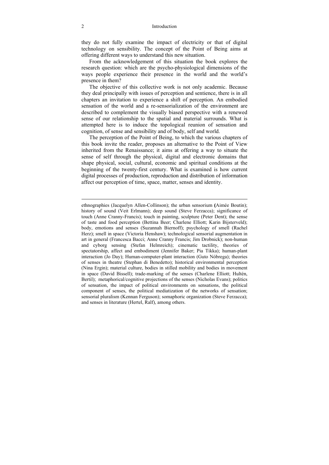#### 2 Introduction

they do not fully examine the impact of electricity or that of digital technology on sensibility. The concept of the Point of Being aims at offering different ways to understand this new situation.

From the acknowledgement of this situation the book explores the research question: which are the psycho-physiological dimensions of the ways people experience their presence in the world and the world's presence in them?

The objective of this collective work is not only academic. Because they deal principally with issues of perception and sentience, there is in all chapters an invitation to experience a shift of perception. An embodied sensation of the world and a re-sensorialization of the environment are described to complement the visually biased perspective with a renewed sense of our relationship to the spatial and material surrounds. What is attempted here is to induce the topological reunion of sensation and cognition, of sense and sensibility and of body, self and world.

The perception of the Point of Being, to which the various chapters of this book invite the reader, proposes an alternative to the Point of View inherited from the Renaissance; it aims at offering a way to situate the sense of self through the physical, digital and electronic domains that shape physical, social, cultural, economic and spiritual conditions at the beginning of the twenty-first century. What is examined is how current digital processes of production, reproduction and distribution of information affect our perception of time, space, matter, senses and identity.

-

ethnographies (Jacquelyn Allen-Collinson); the urban sensorium **(**Aimée Boutin); history of sound (Veit Erlmann); deep sound (Steve Ferzacca); significance of touch (Anne Cranny-Francis); touch in painting, sculpture (Peter Dent); the sense of taste and food perception (Bettina Beer; Charlene Elliott; Karin Bijsterveld); body, emotions and senses (Suzannah Biernoff); psychology of smell (Rachel Herz); smell in space (Victoria Henshaw); technological sensorial augmentation in art in general (Francesca Bacci; Anne Cranny Francis; Jim Drobnick); non-human and cyborg sensing (Stefan Helmreich); cinematic tactility, theories of spectatorship, affect and embodiment (Jennifer Baker; Pia Tikka); human-plant interaction (Jo Day); Human-computer-plant interaction (Guto Nóbrega); theories of senses in theatre (Stephan di Benedetto); historical environmental perception (Nina Ergin); material culture, bodies in stilled mobility and bodies in movement in space (David Bissell); trade-marking of the senses (Charlene Elliott; Hultén, Bertil); metaphorical/cognitive projections of the senses (Nicholas Evans); politics of sensation, the impact of political environments on sensations, the political component of senses, the political mediatization of the networks of sensation; sensorial pluralism (Kennan Ferguson); somaphoric organization (Steve Ferzacca); and senses in literature (Hertel, Ralf), among others.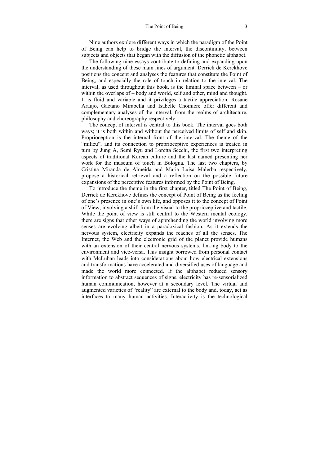Nine authors explore different ways in which the paradigm of the Point of Being can help to bridge the interval, the discontinuity, between subjects and objects that began with the diffusion of the phonetic alphabet.

The following nine essays contribute to defining and expanding upon the understanding of these main lines of argument. Derrick de Kerckhove positions the concept and analyses the features that constitute the Point of Being, and especially the role of touch in relation to the interval. The interval, as used throughout this book, is the liminal space between – or within the overlaps of – body and world, self and other, mind and thought. It is fluid and variable and it privileges a tactile appreciation. Rosane Araujo, Gaetano Mirabella and Isabelle Choinière offer different and complementary analyses of the interval, from the realms of architecture, philosophy and choreography respectively.

The concept of interval is central to this book. The interval goes both ways; it is both within and without the perceived limits of self and skin. Proprioception is the internal front of the interval. The theme of the "milieu", and its connection to proprioceptive experiences is treated in turn by Jung A, Semi Ryu and Loretta Secchi, the first two interpreting aspects of traditional Korean culture and the last named presenting her work for the museum of touch in Bologna. The last two chapters, by Cristina Miranda de Almeida and Maria Luisa Malerba respectively, propose a historical retrieval and a reflection on the possible future expansions of the perceptive features informed by the Point of Being.

To introduce the theme in the first chapter, titled The Point of Being, Derrick de Kerckhove defines the concept of Point of Being as the feeling of one's presence in one's own life, and opposes it to the concept of Point of View, involving a shift from the visual to the proprioceptive and tactile. While the point of view is still central to the Western mental ecology, there are signs that other ways of apprehending the world involving more senses are evolving albeit in a paradoxical fashion. As it extends the nervous system, electricity expands the reaches of all the senses. The Internet, the Web and the electronic grid of the planet provide humans with an extension of their central nervous systems, linking body to the environment and vice-versa. This insight borrowed from personal contact with McLuhan leads into considerations about how electrical extensions and transformations have accelerated and diversified uses of language and made the world more connected. If the alphabet reduced sensory information to abstract sequences of signs, electricity has re-sensorialized human communication, however at a secondary level. The virtual and augmented varieties of "reality" are external to the body and, today, act as interfaces to many human activities. Interactivity is the technological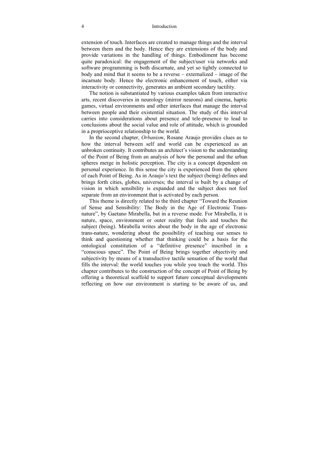#### 4 Introduction

extension of touch. Interfaces are created to manage things and the interval between them and the body. Hence they are extensions of the body and provide variations in the handling of things. Embodiment has become quite paradoxical: the engagement of the subject/user via networks and software programming is both discarnate, and yet so tightly connected to body and mind that it seems to be a reverse – externalized – image of the incarnate body. Hence the electronic enhancement of touch, either via interactivity or connectivity, generates an ambient secondary tactility.

The notion is substantiated by various examples taken from interactive arts, recent discoveries in neurology (mirror neurons) and cinema, haptic games, virtual environments and other interfaces that manage the interval between people and their existential situation. The study of this interval carries into considerations about presence and tele-presence to lead to conclusions about the social value and role of attitude, which is grounded in a proprioceptive relationship to the world.

In the second chapter, *Orbanism*, Rosane Araujo provides clues as to how the interval between self and world can be experienced as an unbroken continuity. It contributes an architect's vision to the understanding of the Point of Being from an analysis of how the personal and the urban spheres merge in holistic perception. The city is a concept dependent on personal experience. In this sense the city is experienced from the sphere of each Point of Being. As in Araujo's text the subject (being) defines and brings forth cities, globes, universes; the interval is built by a change of vision in which sensibility is expanded and the subject does not feel separate from an environment that is activated by each person.

This theme is directly related to the third chapter "Toward the Reunion of Sense and Sensibility: The Body in the Age of Electronic Transnature", by Gaetano Mirabella, but in a reverse mode. For Mirabella, it is nature, space, environment or outer reality that feels and touches the subject (being). Mirabella writes about the body in the age of electronic trans-nature, wondering about the possibility of teaching our senses to think and questioning whether that thinking could be a basis for the ontological constitution of a "definitive presence" inscribed in a "conscious space". The Point of Being brings together objectivity and subjectivity by means of a transductive tactile sensation of the world that fills the interval: the world touches you while you touch the world. This chapter contributes to the construction of the concept of Point of Being by offering a theoretical scaffold to support future conceptual developments reflecting on how our environment is starting to be aware of us, and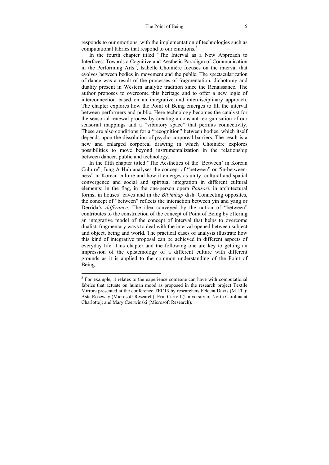responds to our emotions, with the implementation of technologies such as computational fabrics that respond to our emotions.<sup>3</sup>

In the fourth chapter titled "The Interval as a New Approach to Interfaces: Towards a Cognitive and Aesthetic Paradigm of Communication in the Performing Arts", Isabelle Choinière focuses on the interval that evolves between bodies in movement and the public. The spectacularization of dance was a result of the processes of fragmentation, dichotomy and duality present in Western analytic tradition since the Renaissance. The author proposes to overcome this heritage and to offer a new logic of interconnection based on an integrative and interdisciplinary approach. The chapter explores how the Point of Being emerges to fill the interval between performers and public. Here technology becomes the catalyst for the sensorial renewal process by creating a constant reorganisation of our sensorial mappings and a "vibratory space" that permits connectivity. These are also conditions for a "recognition" between bodies, which itself depends upon the dissolution of psycho-corporeal barriers. The result is a new and enlarged corporeal drawing in which Choinière explores possibilities to move beyond instrumentalization in the relationship between dancer, public and technology.

In the fifth chapter titled "The Aesthetics of the 'Between' in Korean Culture", Jung A Huh analyses the concept of "between" or "in-betweenness" in Korean culture and how it emerges as unity, cultural and spatial convergence and social and spiritual integration in different cultural elements: in the flag, in the one-person opera *Pansori*, in architectural forms, in houses' eaves and in the *Bibimbap* dish. Connecting opposites, the concept of "between" reflects the interaction between yin and yang or Derrida's *différance*. The idea conveyed by the notion of "between" contributes to the construction of the concept of Point of Being by offering an integrative model of the concept of interval that helps to overcome dualist, fragmentary ways to deal with the interval opened between subject and object, being and world. The practical cases of analysis illustrate how this kind of integrative proposal can be achieved in different aspects of everyday life. This chapter and the following one are key to getting an impression of the epistemology of a different culture with different grounds as it is applied to the common understanding of the Point of Being.

<sup>&</sup>lt;sup>3</sup> For example, it relates to the experience someone can have with computational fabrics that actuate on human mood as proposed in the research project Textile Mirrors presented at the conference TEI'13 by researchers Felecia Davis (M.I.T.); Asta Roseway (Microsoft Research); Erin Carroll (University of North Carolina at Charlotte); and Mary Czerwinski (Microsoft Research).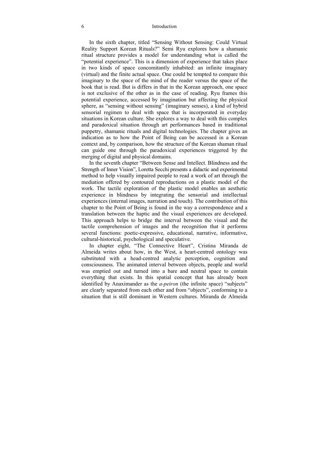### 6 Introduction

In the sixth chapter, titled "Sensing Without Sensing: Could Virtual Reality Support Korean Rituals?" Semi Ryu explores how a shamanic ritual structure provides a model for understanding what is called the "potential experience". This is a dimension of experience that takes place in two kinds of space concomitantly inhabited: an infinite imaginary (virtual) and the finite actual space. One could be tempted to compare this imaginary to the space of the mind of the reader versus the space of the book that is read. But is differs in that in the Korean approach, one space is not exclusive of the other as in the case of reading. Ryu frames this potential experience, accessed by imagination but affecting the physical sphere, as "sensing without sensing" (imaginary senses), a kind of hybrid sensorial regimen to deal with space that is incorporated in everyday situations in Korean culture. She explores a way to deal with this complex and paradoxical situation through art performances based in traditional puppetry, shamanic rituals and digital technologies. The chapter gives an indication as to how the Point of Being can be accessed in a Korean context and, by comparison, how the structure of the Korean shaman ritual can guide one through the paradoxical experiences triggered by the merging of digital and physical domains.

In the seventh chapter "Between Sense and Intellect. Blindness and the Strength of Inner Vision", Loretta Secchi presents a didactic and experimental method to help visually impaired people to read a work of art through the mediation offered by contoured reproductions on a plastic model of the work. The tactile exploration of the plastic model enables an aesthetic experience in blindness by integrating the sensorial and intellectual experiences (internal images, narration and touch). The contribution of this chapter to the Point of Being is found in the way a correspondence and a translation between the haptic and the visual experiences are developed. This approach helps to bridge the interval between the visual and the tactile comprehension of images and the recognition that it performs several functions: poetic-expressive, educational, narrative, informative, cultural-historical, psychological and speculative.

In chapter eight, "The Connective Heart", Cristina Miranda de Almeida writes about how, in the West, a heart-centred ontology was substituted with a head-centred analytic perception, cognition and consciousness. The animated interval between objects, people and world was emptied out and turned into a bare and neutral space to contain everything that exists. In this spatial concept that has already been identified by Anaximander as the *a-peiron* (the infinite space) "subjects" are clearly separated from each other and from "objects", conforming to a situation that is still dominant in Western cultures. Miranda de Almeida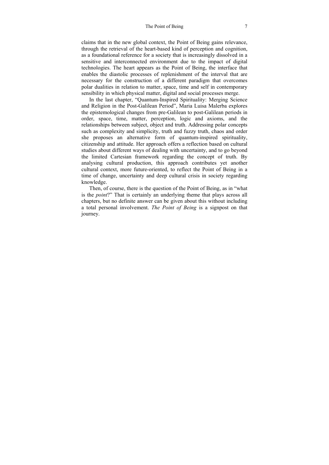claims that in the new global context, the Point of Being gains relevance, through the retrieval of the heart-based kind of perception and cognition, as a foundational reference for a society that is increasingly dissolved in a sensitive and interconnected environment due to the impact of digital technologies. The heart appears as the Point of Being, the interface that enables the diastolic processes of replenishment of the interval that are necessary for the construction of a different paradigm that overcomes polar dualities in relation to matter, space, time and self in contemporary sensibility in which physical matter, digital and social processes merge.

In the last chapter, "Quantum-Inspired Spirituality: Merging Science and Religion in the Post-Galilean Period", Maria Luisa Malerba explores the epistemological changes from pre-Galilean to post-Galilean periods in order, space, time, matter, perception, logic and axioms, and the relationships between subject, object and truth. Addressing polar concepts such as complexity and simplicity, truth and fuzzy truth, chaos and order she proposes an alternative form of quantum-inspired spirituality, citizenship and attitude. Her approach offers a reflection based on cultural studies about different ways of dealing with uncertainty, and to go beyond the limited Cartesian framework regarding the concept of truth. By analysing cultural production, this approach contributes yet another cultural context, more future-oriented, to reflect the Point of Being in a time of change, uncertainty and deep cultural crisis in society regarding knowledge.

Then, of course, there is the question of the Point of Being, as in "what is the *point*?" That is certainly an underlying theme that plays across all chapters, but no definite answer can be given about this without including a total personal involvement. *The Point of Being* is a signpost on that journey.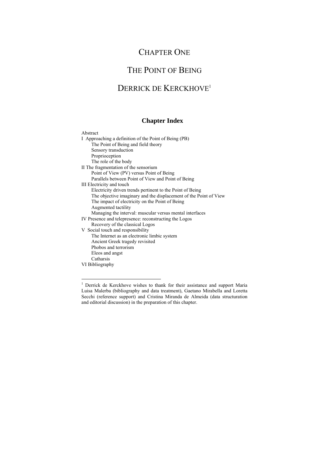### CHAPTER ONE

### THE POINT OF BEING

### DERRICK DE KERCKHOVE<sup>1</sup>

### **Chapter Index**

| Abstract                                                          |
|-------------------------------------------------------------------|
| I Approaching a definition of the Point of Being (PB)             |
| The Point of Being and field theory                               |
| Sensory transduction                                              |
| Proprioception                                                    |
| The role of the body                                              |
| II The fragmentation of the sensorium                             |
| Point of View (PV) versus Point of Being                          |
| Parallels between Point of View and Point of Being                |
| III Electricity and touch                                         |
| Electricity driven trends pertinent to the Point of Being         |
| The objective imaginary and the displacement of the Point of View |
| The impact of electricity on the Point of Being                   |
| Augmented tactility                                               |
| Managing the interval: muscular versus mental interfaces          |
| IV Presence and telepresence: reconstructing the Logos            |
| Recovery of the classical Logos                                   |
| V Social touch and responsibility                                 |
| The Internet as an electronic limbic system                       |
| Ancient Greek tragedy revisited                                   |
| Phobos and terrorism                                              |
| Eleos and angst                                                   |
| Catharsis                                                         |
| VI Bibliography                                                   |

 1 Derrick de Kerckhove wishes to thank for their assistance and support Maria Luisa Malerba (bibliography and data treatment), Gaetano Mirabella and Loretta Secchi (reference support) and Cristina Miranda de Almeida (data structuration and editorial discussion) in the preparation of this chapter.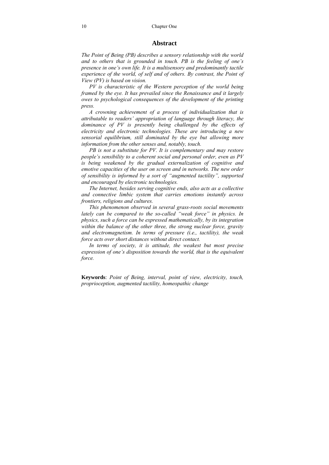### **Abstract**

*The Point of Being (PB) describes a sensory relationship with the world and to others that is grounded in touch. PB is the feeling of one's presence in one's own life. It is a multisensory and predominantly tactile experience of the world, of self and of others. By contrast, the Point of View (PV) is based on vision.* 

*PV is characteristic of the Western perception of the world being framed by the eye. It has prevailed since the Renaissance and it largely owes to psychological consequences of the development of the printing press.* 

*A crowning achievement of a process of individualization that is attributable to readers' appropriation of language through literacy, the dominance of PV is presently being challenged by the effects of electricity and electronic technologies. These are introducing a new sensorial equilibrium, still dominated by the eye but allowing more information from the other senses and, notably, touch.* 

*PB is not a substitute for PV. It is complementary and may restore people's sensibility to a coherent social and personal order, even as PV is being weakened by the gradual externalization of cognitive and emotive capacities of the user on screen and in networks. The new order of sensibility is informed by a sort of "augmented tactility", supported and encouraged by electronic technologies.* 

*The Internet, besides serving cognitive ends, also acts as a collective and connective limbic system that carries emotions instantly across frontiers, religions and cultures.* 

*This phenomenon observed in several grass-roots social movements lately can be compared to the so-called "weak force" in physics. In physics, such a force can be expressed mathematically, by its integration within the balance of the other three, the strong nuclear force, gravity and electromagnetism. In terms of pressure (i.e., tactility), the weak force acts over short distances without direct contact.* 

*In terms of society, it is attitude, the weakest but most precise expression of one's disposition towards the world, that is the equivalent force.* 

**Keywords**: *Point of Being, interval, point of view, electricity, touch, proprioception, augmented tactility, homeopathic change*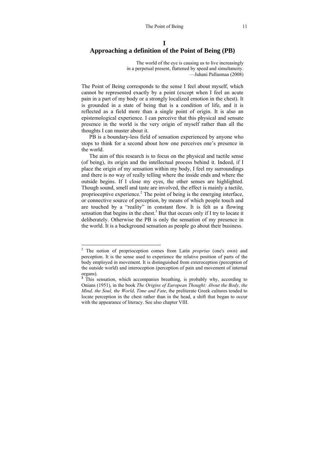### **I Approaching a definition of the Point of Being (PB)**

The world of the eye is causing us to live increasingly in a perpetual present, flattened by speed and simultaneity. —Juhani Pallasmaa (2008)

The Point of Being corresponds to the sense I feel about myself, which cannot be represented exactly by a point (except when I feel an acute pain in a part of my body or a strongly localized emotion in the chest). It is grounded in a state of being that is a condition of life, and it is reflected as a field more than a single point of origin. It is also an epistemological experience. I can perceive that this physical and sensate presence in the world is the very origin of myself rather than all the thoughts I can muster about it.

PB is a boundary-less field of sensation experienced by anyone who stops to think for a second about how one perceives one's presence in the world.

The aim of this research is to focus on the physical and tactile sense (of being), its origin and the intellectual process behind it. Indeed, if I place the origin of my sensation within my body, I feel my surroundings and there is no way of really telling where the inside ends and where the outside begins. If I close my eyes, the other senses are highlighted. Though sound, smell and taste are involved, the effect is mainly a tactile, proprioceptive experience.<sup>2</sup> The point of being is the emerging interface, or connective source of perception, by means of which people touch and are touched by a "reality" in constant flow. It is felt as a flowing sensation that begins in the chest.<sup>3</sup> But that occurs only if I try to locate it deliberately. Otherwise the PB is only the sensation of my presence in the world. It is a background sensation as people go about their business.

<sup>&</sup>lt;sup>2</sup> The notion of proprioception comes from Latin *proprius* (one's own) and perception. It is the sense used to experience the relative position of parts of the body employed in movement. It is distinguished from exteroception (perception of the outside world) and interoception (perception of pain and movement of internal organs).

<sup>&</sup>lt;sup>3</sup> This sensation, which accompanies breathing, is probably why, according to Onians (1951), in the book *The Origins of European Thought: About the Body, the Mind, the Soul, the World, Time and Fate*, the preliterate Greek cultures tended to locate perception in the chest rather than in the head, a shift that began to occur with the appearance of literacy. See also chapter VIII.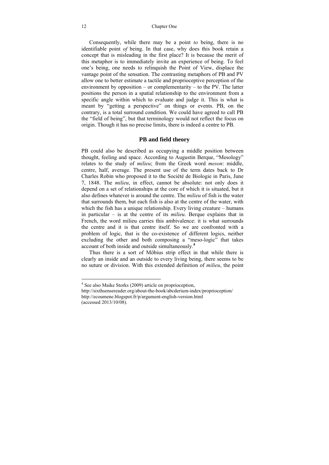Consequently, while there may be a point *to* being, there is no identifiable point *of* being. In that case, why does this book retain a concept that is misleading in the first place? It is because the merit of this metaphor is to immediately invite an experience of being. To feel one's being, one needs to relinquish the Point of View, displace the vantage point of the sensation. The contrasting metaphors of PB and PV allow one to better estimate a tactile and proprioceptive perception of the environment by opposition – or complementarity – to the PV. The latter positions the person in a spatial relationship to the environment from a specific angle within which to evaluate and judge it. This is what is meant by "getting a perspective" on things or events. PB, on the contrary, is a total surround condition. We could have agreed to call PB the "field of being", but that terminology would not reflect the focus on origin. Though it has no precise limits, there is indeed a centre to PB.

### **PB and field theory**

PB could also be described as occupying a middle position between thought, feeling and space. According to Augustin Berque, "Mesology" relates to the study of *milieu*; from the Greek word *meson*: middle, centre, half, average. The present use of the term dates back to Dr Charles Robin who proposed it to the Société de Biologie in Paris, June 7, 1848. The *milieu*, in effect, cannot be absolute: not only does it depend on a set of relationships at the core of which it is situated, but it also defines whatever is around the centre. The *milieu* of fish is the water that surrounds them, but each fish is also at the centre of the water, with which the fish has a unique relationship. Every living creature – humans in particular – is at the centre of its *milieu*. Berque explains that in French, the word milieu carries this ambivalence: it is what surrounds the centre and it is that centre itself. So we are confronted with a problem of logic, that is the co-existence of different logics, neither excluding the other and both composing a "meso-logic" that takes account of both inside and outside simultaneously.**<sup>4</sup>**

Thus there is a sort of Möbius strip effect in that while there is clearly an inside and an outside to every living being, there seems to be no suture or division. With this extended definition of *milieu*, the point

 4 See also Maike Storks (2009) article on proprioception,

http://sixthsensereader.org/about-the-book/abcderium-index/proprioception/ http://ecoumene.blogspot.fr/p/argument-english-version.html (accessed 2013/10/08).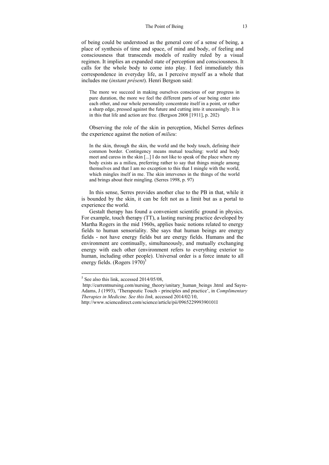of being could be understood as the general core of a sense of being, a place of synthesis of time and space, of mind and body, of feeling and consciousness that transcends models of reality ruled by a visual regimen. It implies an expanded state of perception and consciousness. It calls for the whole body to come into play. I feel immediately this correspondence in everyday life, as I perceive myself as a whole that includes me (*instant présent*). Henri Bergson said:

The more we succeed in making ourselves conscious of our progress in pure duration, the more we feel the different parts of our being enter into each other, and our whole personality concentrate itself in a point, or rather a sharp edge, pressed against the future and cutting into it unceasingly. It is in this that life and action are free. (Bergson 2008 [1911], p. 202)

Observing the role of the skin in perception, Michel Serres defines the experience against the notion of *milieu*:

In the skin, through the skin, the world and the body touch, defining their common border. Contingency means mutual touching: world and body meet and caress in the skin [...] I do not like to speak of the place where my body exists as a milieu, preferring rather to say that things mingle among themselves and that I am no exception to this that I mingle with the world, which mingles itself in me. The skin intervenes in the things of the world and brings about their mingling. (Serres 1998, p. 97)

In this sense, Serres provides another clue to the PB in that, while it is bounded by the skin, it can be felt not as a limit but as a portal to experience the world.

Gestalt therapy has found a convenient scientific ground in physics. For example, touch therapy (TT), a lasting nursing practice developed by Martha Rogers in the mid 1960s, applies basic notions related to energy fields to human sensoriality. She says that human beings are energy fields - not have energy fields but are energy fields. Humans and the environment are continually, simultaneously, and mutually exchanging energy with each other (environment refers to everything exterior to human, including other people). Universal order is a force innate to all energy fields. (Rogers  $1970$ <sup>5</sup>)

 $<sup>5</sup>$  See also this link, accessed 2014/05/08,</sup>

http://currentnursing.com/nursing\_theory/unitary\_human\_beings .html and Sayre-Adams, J (1993), 'Therapeutic Touch - principles and practice', in *Complimentary Therapies in Medicine. See this link,* accessed 2014/02/10,

http://www.sciencedirect.com/science/article/pii/096522999390101I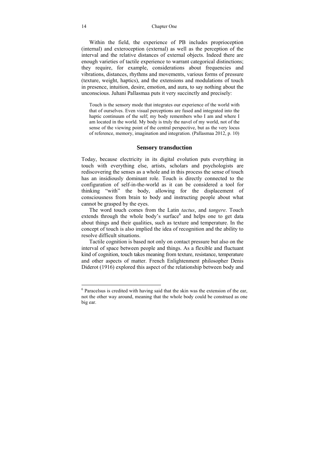#### 14 Chapter One

Within the field, the experience of PB includes proprioception (internal) and exteroception (external) as well as the perception of the interval and the relative distances of external objects. Indeed there are enough varieties of tactile experience to warrant categorical distinctions; they require, for example, considerations about frequencies and vibrations, distances, rhythms and movements, various forms of pressure (texture, weight, haptics), and the extensions and modulations of touch in presence, intuition, desire, emotion, and aura, to say nothing about the unconscious. Juhani Pallasmaa puts it very succinctly and precisely:

Touch is the sensory mode that integrates our experience of the world with that of ourselves. Even visual perceptions are fused and integrated into the haptic continuum of the self; my body remembers who I am and where I am located in the world. My body is truly the navel of my world, not of the sense of the viewing point of the central perspective, but as the very locus of reference, memory, imagination and integration. (Pallasmaa 2012, p. 10)

#### **Sensory transduction**

Today, because electricity in its digital evolution puts everything in touch with everything else, artists, scholars and psychologists are rediscovering the senses as a whole and in this process the sense of touch has an insidiously dominant role. Touch is directly connected to the configuration of self-in-the-world as it can be considered a tool for thinking "with" the body, allowing for the displacement of consciousness from brain to body and instructing people about what cannot be grasped by the eyes.

The word touch comes from the Latin *tactus*, and *tangere*. Touch extends through the whole body's surface<sup>6</sup> and helps one to get data about things and their qualities, such as texture and temperature. In the concept of touch is also implied the idea of recognition and the ability to resolve difficult situations.

Tactile cognition is based not only on contact pressure but also on the interval of space between people and things. As a flexible and fluctuant kind of cognition, touch takes meaning from texture, resistance, temperature and other aspects of matter. French Enlightenment philosopher Denis Diderot (1916) explored this aspect of the relationship between body and

<sup>&</sup>lt;sup>6</sup> Paracelsus is credited with having said that the skin was the extension of the ear, not the other way around, meaning that the whole body could be construed as one big ear.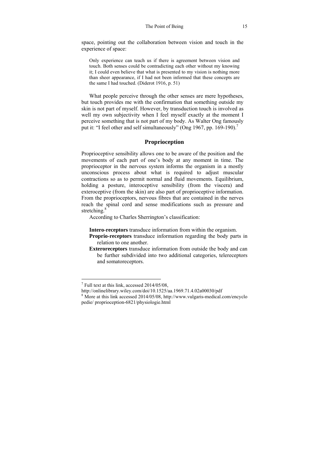space, pointing out the collaboration between vision and touch in the experience of space:

Only experience can teach us if there is agreement between vision and touch. Both senses could be contradicting each other without my knowing it; I could even believe that what is presented to my vision is nothing more than sheer appearance, if I had not been informed that these concepts are the same I had touched. (Diderot 1916, p. 51)

What people perceive through the other senses are mere hypotheses, but touch provides me with the confirmation that something outside my skin is not part of myself. However, by transduction touch is involved as well my own subjectivity when I feel myself exactly at the moment I perceive something that is not part of my body. As Walter Ong famously put it: "I feel other and self simultaneously" (Ong 1967, pp. 169-190).<sup>7</sup>

### **Proprioception**

Proprioceptive sensibility allows one to be aware of the position and the movements of each part of one's body at any moment in time. The proprioceptor in the nervous system informs the organism in a mostly unconscious process about what is required to adjust muscular contractions so as to permit normal and fluid movements. Equilibrium, holding a posture, interoceptive sensibility (from the viscera) and exteroceptive (from the skin) are also part of proprioceptive information. From the proprioceptors, nervous fibres that are contained in the nerves reach the spinal cord and sense modifications such as pressure and stretching.<sup>8</sup>

According to Charles Sherrington's classification:

**Intero-receptors** transduce information from within the organism.

- **Proprio-receptors** transduce information regarding the body parts in relation to one another.
- **Exteroreceptors** transduce information from outside the body and can be further subdivided into two additional categories, telereceptors and somatoreceptors.

<sup>&</sup>lt;sup>7</sup> Full text at this link, accessed 2014/05/08,

http://onlinelibrary.wiley.com/doi/10.1525/aa.1969.71.4.02a00030/pdf 8

<sup>&</sup>lt;sup>8</sup> More at this link accessed 2014/05/08, http://www.vulgaris-medical.com/encyclo pedie/ proprioception-6821/physiologie.html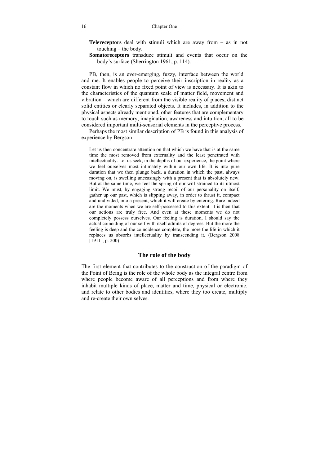#### 16 Chapter One

**Telereceptors** deal with stimuli which are away from – as in not touching – the body.

**Somatoreceptors** transduce stimuli and events that occur on the body's surface (Sherrington 1961, p. 114).

PB, then, is an ever-emerging, fuzzy, interface between the world and me. It enables people to perceive their inscription in reality as a constant flow in which no fixed point of view is necessary. It is akin to the characteristics of the quantum scale of matter field, movement and vibration – which are different from the visible reality of places, distinct solid entities or clearly separated objects. It includes, in addition to the physical aspects already mentioned, other features that are complementary to touch such as memory, imagination, awareness and intuition, all to be considered important multi-sensorial elements in the perceptive process.

Perhaps the most similar description of PB is found in this analysis of experience by Bergson

Let us then concentrate attention on that which we have that is at the same time the most removed from externality and the least penetrated with intellectuality. Let us seek, in the depths of our experience, the point where we feel ourselves most intimately within our own life. It is into pure duration that we then plunge back, a duration in which the past, always moving on, is swelling unceasingly with a present that is absolutely new. But at the same time, we feel the spring of our will strained to its utmost limit. We must, by engaging strong recoil of our personality on itself, gather up our past, which is slipping away, in order to thrust it, compact and undivided, into a present, which it will create by entering. Rare indeed are the moments when we are self-possessed to this extent: it is then that our actions are truly free. And even at these moments we do not completely possess ourselves. Our feeling is duration, I should say the actual coinciding of our self with itself admits of degrees. But the more the feeling is deep and the coincidence complete, the more the life in which it replaces us absorbs intellectuality by transcending it. (Bergson 2008 [1911], p. 200)

### **The role of the body**

The first element that contributes to the construction of the paradigm of the Point of Being is the role of the whole body as the integral centre from where people become aware of all perceptions and from where they inhabit multiple kinds of place, matter and time, physical or electronic, and relate to other bodies and identities, where they too create, multiply and re-create their own selves.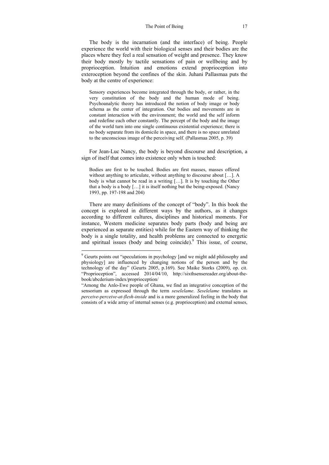The body is the incarnation (and the interface) of being. People experience the world with their biological senses and their bodies are the places where they feel a real sensation of weight and presence. They know their body mostly by tactile sensations of pain or wellbeing and by proprioception. Intuition and emotions extend proprioception into exteroception beyond the confines of the skin. Juhani Pallasmaa puts the body at the centre of experience:

Sensory experiences become integrated through the body, or rather, in the very constitution of the body and the human mode of being. Psychoanalytic theory has introduced the notion of body image or body schema as the center of integration. Our bodies and movements are in constant interaction with the environment; the world and the self inform and redefine each other constantly. The percept of the body and the image of the world turn into one single continuous existential experience; there is no body separate from its domicile in space, and there is no space unrelated to the unconscious image of the perceiving self. (Pallasmaa 2005, p. 39)

For Jean-Luc Nancy, the body is beyond discourse and description, a sign of itself that comes into existence only when is touched:

Bodies are first to be touched. Bodies are first masses, masses offered without anything to articulate, without anything to discourse about […]. A body is what cannot be read in a writing […]. It is by touching the Other that a body is a body […] it is itself nothing but the being-exposed. (Nancy 1993, pp. 197-198 and 204)

There are many definitions of the concept of "body". In this book the concept is explored in different ways by the authors, as it changes according to different cultures, disciplines and historical moments. For instance, Western medicine separates body parts (body and being are experienced as separate entities) while for the Eastern way of thinking the body is a single totality, and health problems are connected to energetic and spiritual issues (body and being coincide).<sup>9</sup> This issue, of course,

<sup>&</sup>lt;sup>9</sup> Geurts points out "speculations in psychology [and we might add philosophy and physiology] are influenced by changing notions of the person and by the technology of the day" (Geurts 2005, p.169). See Maike Storks (2009), op. cit. "Proprioception", accessed 2014/04/10, http://sixthsensereader.org/about-thebook/abcderium-index/proprioception/

<sup>&</sup>quot;Among the Anlo-Ewe people of Ghana, we find an integrative conception of the sensorium as expressed through the term *seselelame*. *Seselelame* translates as *perceive-perceive-at-flesh-inside* and is a more generalized feeling in the body that consists of a wide array of internal senses (e.g. proprioception) and external senses,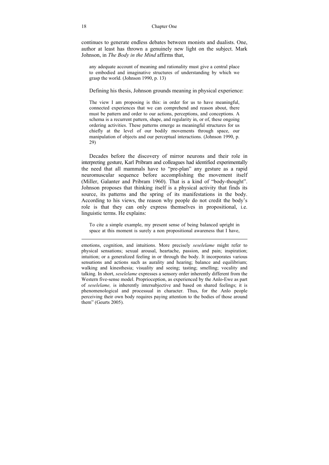continues to generate endless debates between monists and dualists. One, author at least has thrown a genuinely new light on the subject. Mark Johnson, in *The Body in the Mind* affirms that,

any adequate account of meaning and rationality must give a central place to embodied and imaginative structures of understanding by which we grasp the world. (Johnson 1990, p. 13)

Defining his thesis, Johnson grounds meaning in physical experience:

The view I am proposing is this: in order for us to have meaningful, connected experiences that we can comprehend and reason about, there must be pattern and order to our actions, perceptions, and conceptions. A schema is a recurrent pattern, shape, and regularity in, or of, these ongoing ordering activities. These patterns emerge as meaningful structures for us chiefly at the level of our bodily movements through space, our manipulation of objects and our perceptual interactions. (Johnson 1990, p. 29)

Decades before the discovery of mirror neurons and their role in interpreting gesture, Karl Pribram and colleagues had identified experimentally the need that all mammals have to "pre-plan" any gesture as a rapid neuromuscular sequence before accomplishing the movement itself (Miller, Galanter and Pribram 1960). That is a kind of "body-thought". Johnson proposes that thinking itself is a physical activity that finds its source, its patterns and the spring of its manifestations in the body. According to his views, the reason why people do not credit the body's role is that they can only express themselves in propositional, i.e. linguistic terms. He explains:

To cite a simple example, my present sense of being balanced upright in space at this moment is surely a non propositional awareness that I have,

emotions, cognition, and intuitions. More precisely *seselelame* might refer to physical sensations; sexual arousal, heartache, passion, and pain; inspiration; intuition; or a generalized feeling in or through the body. It incorporates various sensations and actions such as aurality and hearing; balance and equilibrium; walking and kinesthesia; visuality and seeing; tasting; smelling; vocality and talking. In short, *seselelame* expresses a sensory order inherently different from the Western five-sense model. Proprioception, as experienced by the Anlo-Ewe as part of *seselelame,* is inherently intersubjective and based on shared feelings; it is phenomenological and processual in character. Thus, for the Anlo people perceiving their own body requires paying attention to the bodies of those around them" (Geurts 2005).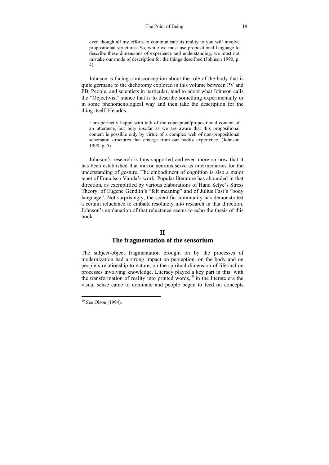#### The Point of Being 19

even though all my efforts to communicate its reality to you will involve propositional structures. So, while we must use propositional language to describe these dimensions of experience and understanding, we must not mistake our mode of description for the things described (Johnson 1990, p. 4)

Johnson is facing a misconception about the role of the body that is quite germane to the dichotomy explored in this volume between PV and PB. People, and scientists in particular, tend to adopt what Johnson calls the "Objectivist" stance that is to describe something experimentally or in some phenomenological way and then take the description for the thing itself. He adds:

I am perfectly happy with talk of the conceptual/propositional content of an utterance, but only insofar as we are aware that this propositional content is possible only by virtue of a complex web of non-propositional schematic structures that emerge from our bodily experience. (Johnson 1990, p. 5)

Johnson's research is thus supported and even more so now that it has been established that mirror neurons serve as intermediaries for the understanding of gesture. The embodiment of cognition is also a major tenet of Francisco Varela's work. Popular literature has abounded in that direction, as exemplified by various elaborations of Hand Selye's Stress Theory, of Eugene Gendlin's "felt meaning" and of Julius Fast's "body language". Not surprisingly, the scientific community has demonstrated a certain reluctance to embark resolutely into research in that direction. Johnson's explanation of that reluctance seems to echo the thesis of this book.

### **II**

### **The fragmentation of the sensorium**

The subject-object fragmentation brought on by the processes of modernization had a strong impact on perception, on the body and on people's relationship to nature, on the spiritual dimension of life and on processes involving knowledge. Literacy played a key part in this: with the transformation of reality into printed words,<sup>10</sup> in the literate era the visual sense came to dominate and people began to feed on concepts

 $10$  See Olson (1994).